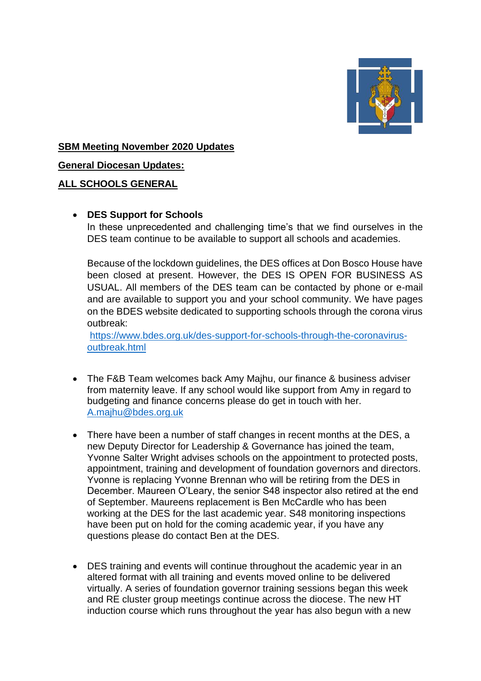

## **SBM Meeting November 2020 Updates**

**General Diocesan Updates:**

### **ALL SCHOOLS GENERAL**

#### • **DES Support for Schools**

In these unprecedented and challenging time's that we find ourselves in the DES team continue to be available to support all schools and academies.

Because of the lockdown guidelines, the DES offices at Don Bosco House have been closed at present. However, the DES IS OPEN FOR BUSINESS AS USUAL. All members of the DES team can be contacted by phone or e-mail and are available to support you and your school community. We have pages on the BDES website dedicated to supporting schools through the corona virus outbreak:

[https://www.bdes.org.uk/des-support-for-schools-through-the-coronavirus](https://www.bdes.org.uk/des-support-for-schools-through-the-coronavirus-outbreak.html)[outbreak.html](https://www.bdes.org.uk/des-support-for-schools-through-the-coronavirus-outbreak.html)

- The F&B Team welcomes back Amy Majhu, our finance & business adviser from maternity leave. If any school would like support from Amy in regard to budgeting and finance concerns please do get in touch with her. [A.majhu@bdes.org.uk](mailto:A.majhu@bdes.org.uk)
- There have been a number of staff changes in recent months at the DES, a new Deputy Director for Leadership & Governance has joined the team, Yvonne Salter Wright advises schools on the appointment to protected posts, appointment, training and development of foundation governors and directors. Yvonne is replacing Yvonne Brennan who will be retiring from the DES in December. Maureen O'Leary, the senior S48 inspector also retired at the end of September. Maureens replacement is Ben McCardle who has been working at the DES for the last academic year. S48 monitoring inspections have been put on hold for the coming academic year, if you have any questions please do contact Ben at the DES.
- DES training and events will continue throughout the academic year in an altered format with all training and events moved online to be delivered virtually. A series of foundation governor training sessions began this week and RE cluster group meetings continue across the diocese. The new HT induction course which runs throughout the year has also begun with a new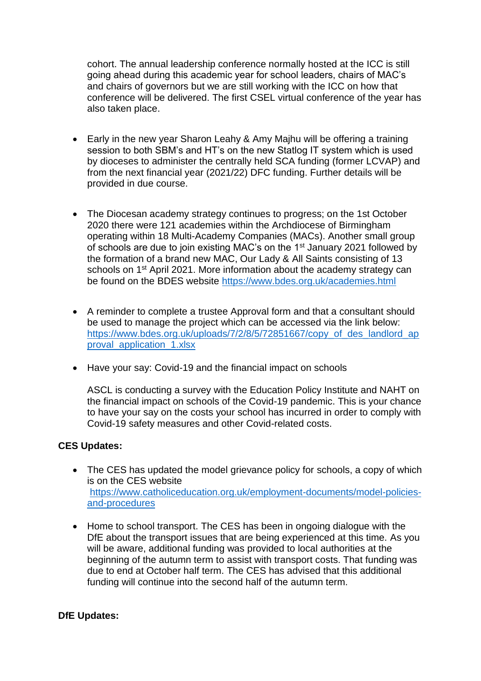cohort. The annual leadership conference normally hosted at the ICC is still going ahead during this academic year for school leaders, chairs of MAC's and chairs of governors but we are still working with the ICC on how that conference will be delivered. The first CSEL virtual conference of the year has also taken place.

- Early in the new year Sharon Leahy & Amy Majhu will be offering a training session to both SBM's and HT's on the new Statlog IT system which is used by dioceses to administer the centrally held SCA funding (former LCVAP) and from the next financial year (2021/22) DFC funding. Further details will be provided in due course.
- The Diocesan academy strategy continues to progress; on the 1st October 2020 there were 121 academies within the Archdiocese of Birmingham operating within 18 Multi-Academy Companies (MACs). Another small group of schools are due to join existing MAC's on the 1st January 2021 followed by the formation of a brand new MAC, Our Lady & All Saints consisting of 13 schools on 1<sup>st</sup> April 2021. More information about the academy strategy can be found on the BDES website<https://www.bdes.org.uk/academies.html>
- A reminder to complete a trustee Approval form and that a consultant should be used to manage the project which can be accessed via the link below: [https://www.bdes.org.uk/uploads/7/2/8/5/72851667/copy\\_of\\_des\\_landlord\\_ap](https://www.bdes.org.uk/uploads/7/2/8/5/72851667/copy_of_des_landlord_approval_application_1.xlsx) proval application 1.xlsx
- Have your say: Covid-19 and the financial impact on schools

ASCL is conducting a survey with the Education Policy Institute and NAHT on the financial impact on schools of the Covid-19 pandemic. This is your chance to have your say on the costs your school has incurred in order to comply with Covid-19 safety measures and other Covid-related costs.

## **CES Updates:**

- The CES has updated the model grievance policy for schools, a copy of which is on the CES website [https://www.catholiceducation.org.uk/employment-documents/model-policies](https://www.catholiceducation.org.uk/employment-documents/model-policies-and-procedures)[and-procedures](https://www.catholiceducation.org.uk/employment-documents/model-policies-and-procedures)
- Home to school transport. The CES has been in ongoing dialogue with the DfE about the transport issues that are being experienced at this time. As you will be aware, additional funding was provided to local authorities at the beginning of the autumn term to assist with transport costs. That funding was due to end at October half term. The CES has advised that this additional funding will continue into the second half of the autumn term.

#### **DfE Updates:**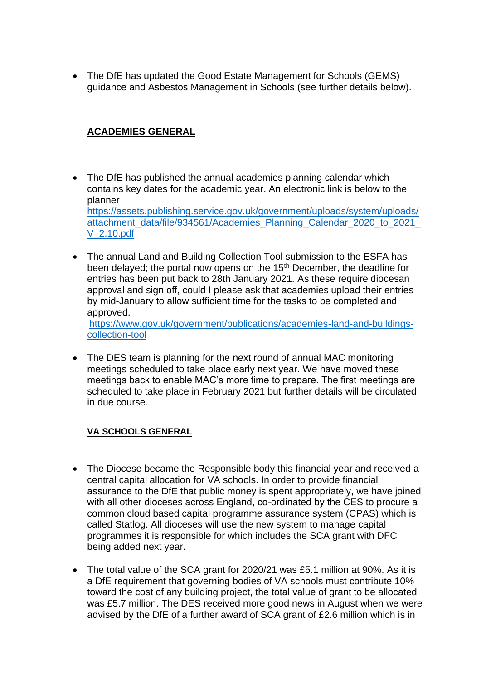• The DfE has updated the Good Estate Management for Schools (GEMS) guidance and Asbestos Management in Schools (see further details below).

# **ACADEMIES GENERAL**

- The DfE has published the annual academies planning calendar which contains key dates for the academic year. An electronic link is below to the planner [https://assets.publishing.service.gov.uk/government/uploads/system/uploads/](https://assets.publishing.service.gov.uk/government/uploads/system/uploads/attachment_data/file/934561/Academies_Planning_Calendar_2020_to_2021_V_2.10.pdf) [attachment\\_data/file/934561/Academies\\_Planning\\_Calendar\\_2020\\_to\\_2021\\_](https://assets.publishing.service.gov.uk/government/uploads/system/uploads/attachment_data/file/934561/Academies_Planning_Calendar_2020_to_2021_V_2.10.pdf) [V\\_2.10.pdf](https://assets.publishing.service.gov.uk/government/uploads/system/uploads/attachment_data/file/934561/Academies_Planning_Calendar_2020_to_2021_V_2.10.pdf)
- The annual Land and Building Collection Tool submission to the ESFA has been delayed; the portal now opens on the 15<sup>th</sup> December, the deadline for entries has been put back to 28th January 2021. As these require diocesan approval and sign off, could I please ask that academies upload their entries by mid-January to allow sufficient time for the tasks to be completed and approved.

[https://www.gov.uk/government/publications/academies-land-and-buildings](https://www.gov.uk/government/publications/academies-land-and-buildings-collection-tool)[collection-tool](https://www.gov.uk/government/publications/academies-land-and-buildings-collection-tool)

• The DES team is planning for the next round of annual MAC monitoring meetings scheduled to take place early next year. We have moved these meetings back to enable MAC's more time to prepare. The first meetings are scheduled to take place in February 2021 but further details will be circulated in due course.

## **VA SCHOOLS GENERAL**

- The Diocese became the Responsible body this financial year and received a central capital allocation for VA schools. In order to provide financial assurance to the DfE that public money is spent appropriately, we have joined with all other dioceses across England, co-ordinated by the CES to procure a common cloud based capital programme assurance system (CPAS) which is called Statlog. All dioceses will use the new system to manage capital programmes it is responsible for which includes the SCA grant with DFC being added next year.
- The total value of the SCA grant for 2020/21 was £5.1 million at 90%. As it is a DfE requirement that governing bodies of VA schools must contribute 10% toward the cost of any building project, the total value of grant to be allocated was £5.7 million. The DES received more good news in August when we were advised by the DfE of a further award of SCA grant of £2.6 million which is in